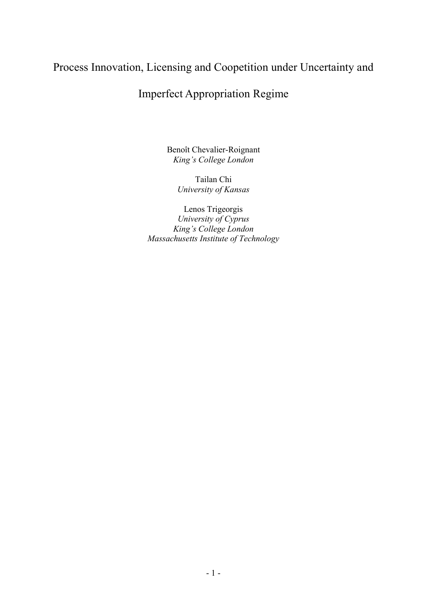## Process Innovation, Licensing and Coopetition under Uncertainty and

# Imperfect Appropriation Regime

Benoît Chevalier-Roignant King's College London

> Tailan Chi University of Kansas

Lenos Trigeorgis University of Cyprus King's College London Massachusetts Institute of Technology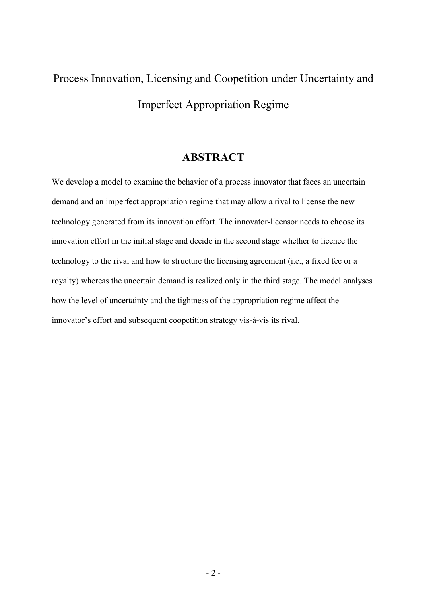# Process Innovation, Licensing and Coopetition under Uncertainty and Imperfect Appropriation Regime

## ABSTRACT

We develop a model to examine the behavior of a process innovator that faces an uncertain demand and an imperfect appropriation regime that may allow a rival to license the new technology generated from its innovation effort. The innovator-licensor needs to choose its innovation effort in the initial stage and decide in the second stage whether to licence the technology to the rival and how to structure the licensing agreement (i.e., a fixed fee or a royalty) whereas the uncertain demand is realized only in the third stage. The model analyses how the level of uncertainty and the tightness of the appropriation regime affect the innovator's effort and subsequent coopetition strategy vis-à-vis its rival.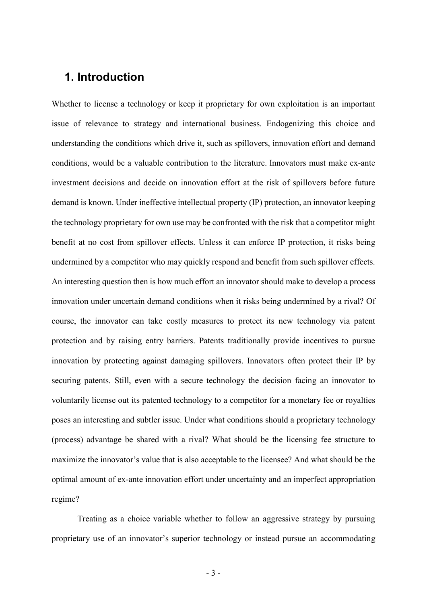## 1. Introduction

Whether to license a technology or keep it proprietary for own exploitation is an important issue of relevance to strategy and international business. Endogenizing this choice and understanding the conditions which drive it, such as spillovers, innovation effort and demand conditions, would be a valuable contribution to the literature. Innovators must make ex-ante investment decisions and decide on innovation effort at the risk of spillovers before future demand is known. Under ineffective intellectual property (IP) protection, an innovator keeping the technology proprietary for own use may be confronted with the risk that a competitor might benefit at no cost from spillover effects. Unless it can enforce IP protection, it risks being undermined by a competitor who may quickly respond and benefit from such spillover effects. An interesting question then is how much effort an innovator should make to develop a process innovation under uncertain demand conditions when it risks being undermined by a rival? Of course, the innovator can take costly measures to protect its new technology via patent protection and by raising entry barriers. Patents traditionally provide incentives to pursue innovation by protecting against damaging spillovers. Innovators often protect their IP by securing patents. Still, even with a secure technology the decision facing an innovator to voluntarily license out its patented technology to a competitor for a monetary fee or royalties poses an interesting and subtler issue. Under what conditions should a proprietary technology (process) advantage be shared with a rival? What should be the licensing fee structure to maximize the innovator's value that is also acceptable to the licensee? And what should be the optimal amount of ex-ante innovation effort under uncertainty and an imperfect appropriation regime?

Treating as a choice variable whether to follow an aggressive strategy by pursuing proprietary use of an innovator's superior technology or instead pursue an accommodating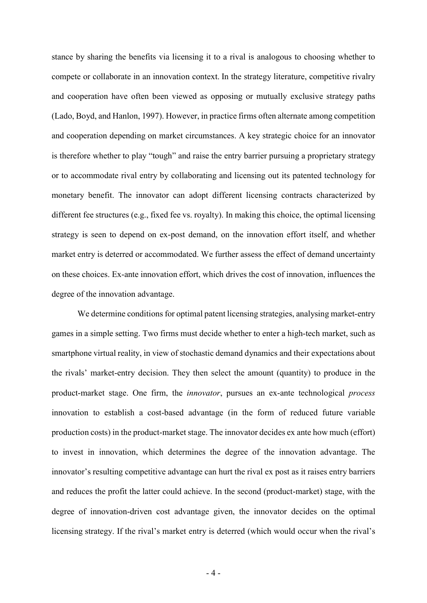stance by sharing the benefits via licensing it to a rival is analogous to choosing whether to compete or collaborate in an innovation context. In the strategy literature, competitive rivalry and cooperation have often been viewed as opposing or mutually exclusive strategy paths (Lado, Boyd, and Hanlon, 1997). However, in practice firms often alternate among competition and cooperation depending on market circumstances. A key strategic choice for an innovator is therefore whether to play "tough" and raise the entry barrier pursuing a proprietary strategy or to accommodate rival entry by collaborating and licensing out its patented technology for monetary benefit. The innovator can adopt different licensing contracts characterized by different fee structures (e.g., fixed fee vs. royalty). In making this choice, the optimal licensing strategy is seen to depend on ex-post demand, on the innovation effort itself, and whether market entry is deterred or accommodated. We further assess the effect of demand uncertainty on these choices. Ex-ante innovation effort, which drives the cost of innovation, influences the degree of the innovation advantage.

We determine conditions for optimal patent licensing strategies, analysing market-entry games in a simple setting. Two firms must decide whether to enter a high-tech market, such as smartphone virtual reality, in view of stochastic demand dynamics and their expectations about the rivals' market-entry decision. They then select the amount (quantity) to produce in the product-market stage. One firm, the innovator, pursues an ex-ante technological process innovation to establish a cost-based advantage (in the form of reduced future variable production costs) in the product-market stage. The innovator decides ex ante how much (effort) to invest in innovation, which determines the degree of the innovation advantage. The innovator's resulting competitive advantage can hurt the rival ex post as it raises entry barriers and reduces the profit the latter could achieve. In the second (product-market) stage, with the degree of innovation-driven cost advantage given, the innovator decides on the optimal licensing strategy. If the rival's market entry is deterred (which would occur when the rival's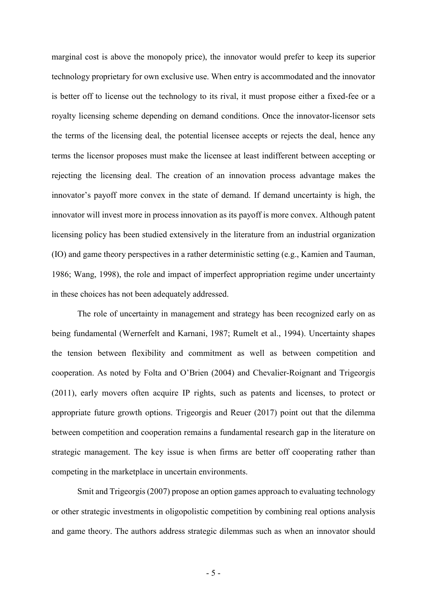marginal cost is above the monopoly price), the innovator would prefer to keep its superior technology proprietary for own exclusive use. When entry is accommodated and the innovator is better off to license out the technology to its rival, it must propose either a fixed-fee or a royalty licensing scheme depending on demand conditions. Once the innovator-licensor sets the terms of the licensing deal, the potential licensee accepts or rejects the deal, hence any terms the licensor proposes must make the licensee at least indifferent between accepting or rejecting the licensing deal. The creation of an innovation process advantage makes the innovator's payoff more convex in the state of demand. If demand uncertainty is high, the innovator will invest more in process innovation as its payoff is more convex. Although patent licensing policy has been studied extensively in the literature from an industrial organization (IO) and game theory perspectives in a rather deterministic setting (e.g., Kamien and Tauman, 1986; Wang, 1998), the role and impact of imperfect appropriation regime under uncertainty in these choices has not been adequately addressed.

 The role of uncertainty in management and strategy has been recognized early on as being fundamental (Wernerfelt and Karnani, 1987; Rumelt et al., 1994). Uncertainty shapes the tension between flexibility and commitment as well as between competition and cooperation. As noted by Folta and O'Brien (2004) and Chevalier-Roignant and Trigeorgis (2011), early movers often acquire IP rights, such as patents and licenses, to protect or appropriate future growth options. Trigeorgis and Reuer (2017) point out that the dilemma between competition and cooperation remains a fundamental research gap in the literature on strategic management. The key issue is when firms are better off cooperating rather than competing in the marketplace in uncertain environments.

Smit and Trigeorgis (2007) propose an option games approach to evaluating technology or other strategic investments in oligopolistic competition by combining real options analysis and game theory. The authors address strategic dilemmas such as when an innovator should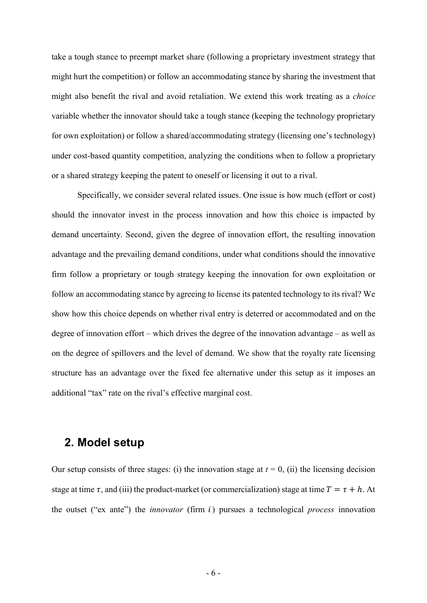take a tough stance to preempt market share (following a proprietary investment strategy that might hurt the competition) or follow an accommodating stance by sharing the investment that might also benefit the rival and avoid retaliation. We extend this work treating as a choice variable whether the innovator should take a tough stance (keeping the technology proprietary for own exploitation) or follow a shared/accommodating strategy (licensing one's technology) under cost-based quantity competition, analyzing the conditions when to follow a proprietary or a shared strategy keeping the patent to oneself or licensing it out to a rival.

Specifically, we consider several related issues. One issue is how much (effort or cost) should the innovator invest in the process innovation and how this choice is impacted by demand uncertainty. Second, given the degree of innovation effort, the resulting innovation advantage and the prevailing demand conditions, under what conditions should the innovative firm follow a proprietary or tough strategy keeping the innovation for own exploitation or follow an accommodating stance by agreeing to license its patented technology to its rival? We show how this choice depends on whether rival entry is deterred or accommodated and on the degree of innovation effort – which drives the degree of the innovation advantage – as well as on the degree of spillovers and the level of demand. We show that the royalty rate licensing structure has an advantage over the fixed fee alternative under this setup as it imposes an additional "tax" rate on the rival's effective marginal cost.

## 2. Model setup

Our setup consists of three stages: (i) the innovation stage at  $t = 0$ , (ii) the licensing decision stage at time  $\tau$ , and (iii) the product-market (or commercialization) stage at time  $T = \tau + h$ . At the outset ("ex ante") the *innovator* (firm  $i$ ) pursues a technological *process* innovation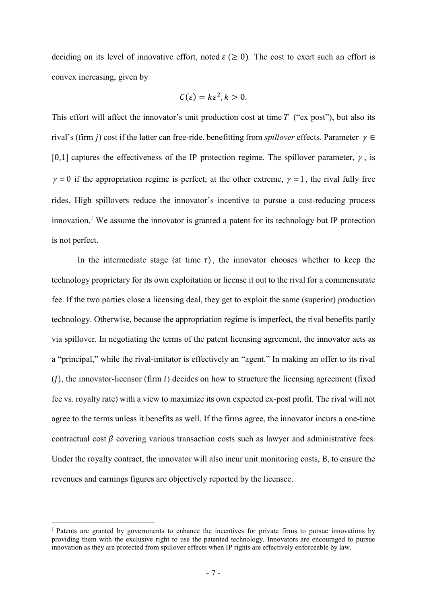deciding on its level of innovative effort, noted  $\varepsilon \geq 0$ ). The cost to exert such an effort is convex increasing, given by

$$
C(\varepsilon)=k\varepsilon^2, k>0.
$$

This effort will affect the innovator's unit production cost at time  $T$  ("ex post"), but also its rival's (firm j) cost if the latter can free-ride, benefitting from *spillover* effects. Parameter  $\gamma \in \mathbb{R}$ [0,1] captures the effectiveness of the IP protection regime. The spillover parameter,  $\gamma$ , is  $\gamma = 0$  if the appropriation regime is perfect; at the other extreme,  $\gamma = 1$ , the rival fully free rides. High spillovers reduce the innovator's incentive to pursue a cost-reducing process innovation.<sup>1</sup> We assume the innovator is granted a patent for its technology but IP protection is not perfect.

In the intermediate stage (at time  $\tau$ ), the innovator chooses whether to keep the technology proprietary for its own exploitation or license it out to the rival for a commensurate fee. If the two parties close a licensing deal, they get to exploit the same (superior) production technology. Otherwise, because the appropriation regime is imperfect, the rival benefits partly via spillover. In negotiating the terms of the patent licensing agreement, the innovator acts as a "principal," while the rival-imitator is effectively an "agent." In making an offer to its rival  $(j)$ , the innovator-licensor (firm  $i$ ) decides on how to structure the licensing agreement (fixed fee vs. royalty rate) with a view to maximize its own expected ex-post profit. The rival will not agree to the terms unless it benefits as well. If the firms agree, the innovator incurs a one-time contractual cost  $\beta$  covering various transaction costs such as lawyer and administrative fees. Under the royalty contract, the innovator will also incur unit monitoring costs, B, to ensure the revenues and earnings figures are objectively reported by the licensee.

<sup>&</sup>lt;sup>1</sup> Patents are granted by governments to enhance the incentives for private firms to pursue innovations by providing them with the exclusive right to use the patented technology. Innovators are encouraged to pursue innovation as they are protected from spillover effects when IP rights are effectively enforceable by law.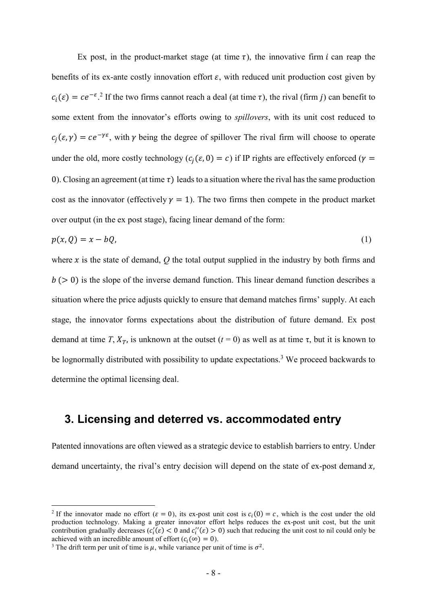Ex post, in the product-market stage (at time  $\tau$ ), the innovative firm *i* can reap the benefits of its ex-ante costly innovation effort  $\varepsilon$ , with reduced unit production cost given by  $c_i(\varepsilon) = c e^{-\varepsilon}$ .<sup>2</sup> If the two firms cannot reach a deal (at time  $\tau$ ), the rival (firm j) can benefit to some extent from the innovator's efforts owing to spillovers, with its unit cost reduced to  $c_i(\varepsilon, \gamma) = c e^{-\gamma \varepsilon}$ , with  $\gamma$  being the degree of spillover The rival firm will choose to operate under the old, more costly technology ( $c_i(\varepsilon, 0) = c$ ) if IP rights are effectively enforced ( $\gamma =$ 0). Closing an agreement (at time  $\tau$ ) leads to a situation where the rival has the same production cost as the innovator (effectively  $\gamma = 1$ ). The two firms then compete in the product market over output (in the ex post stage), facing linear demand of the form:

$$
p(x,Q) = x - bQ,\tag{1}
$$

where  $x$  is the state of demand,  $Q$  the total output supplied in the industry by both firms and  $b$  ( $> 0$ ) is the slope of the inverse demand function. This linear demand function describes a situation where the price adjusts quickly to ensure that demand matches firms' supply. At each stage, the innovator forms expectations about the distribution of future demand. Ex post demand at time T,  $X_T$ , is unknown at the outset ( $t = 0$ ) as well as at time  $\tau$ , but it is known to be lognormally distributed with possibility to update expectations.<sup>3</sup> We proceed backwards to determine the optimal licensing deal.

## 3. Licensing and deterred vs. accommodated entry

Patented innovations are often viewed as a strategic device to establish barriers to entry. Under demand uncertainty, the rival's entry decision will depend on the state of ex-post demand  $x$ ,

<sup>&</sup>lt;sup>2</sup> If the innovator made no effort ( $\varepsilon = 0$ ), its ex-post unit cost is  $c_i(0) = c$ , which is the cost under the old production technology. Making a greater innovator effort helps reduces the ex-post unit cost, but the unit contribution gradually decreases  $(c_i'(\varepsilon) < 0$  and  $c_i''(\varepsilon) > 0$ ) such that reducing the unit cost to nil could only be achieved with an incredible amount of effort  $(c_i(\infty) = 0)$ .

<sup>&</sup>lt;sup>3</sup> The drift term per unit of time is  $\mu$ , while variance per unit of time is  $\sigma^2$ .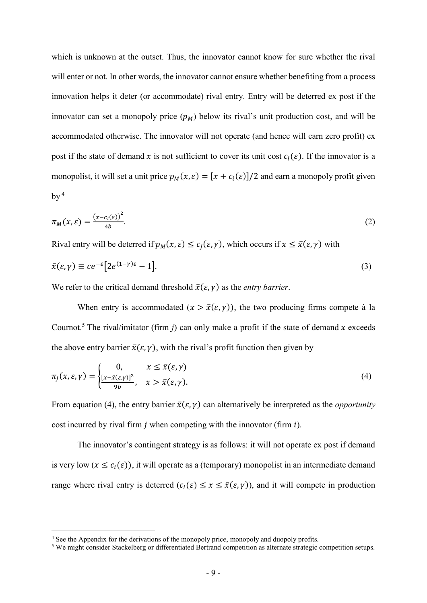which is unknown at the outset. Thus, the innovator cannot know for sure whether the rival will enter or not. In other words, the innovator cannot ensure whether benefiting from a process innovation helps it deter (or accommodate) rival entry. Entry will be deterred ex post if the innovator can set a monopoly price  $(p_M)$  below its rival's unit production cost, and will be accommodated otherwise. The innovator will not operate (and hence will earn zero profit) ex post if the state of demand x is not sufficient to cover its unit cost  $c_i(\varepsilon)$ . If the innovator is a monopolist, it will set a unit price  $p_M(x, \varepsilon) = [x + c_i(\varepsilon)]/2$  and earn a monopoly profit given by  $4$ 

$$
\pi_M(x,\varepsilon) = \frac{(x - c_i(\varepsilon))^2}{4b}.\tag{2}
$$

Rival entry will be deterred if  $p_M(x, \varepsilon) \leq c_i(\varepsilon, \gamma)$ , which occurs if  $x \leq \overline{x}(\varepsilon, \gamma)$  with

$$
\bar{x}(\varepsilon,\gamma) \equiv c e^{-\varepsilon} \big[ 2e^{(1-\gamma)\varepsilon} - 1 \big]. \tag{3}
$$

We refer to the critical demand threshold  $\bar{x}(\varepsilon, \gamma)$  as the *entry barrier*.

When entry is accommodated  $(x > \bar{x}(\varepsilon, \gamma))$ , the two producing firms compete à la Cournot.<sup>5</sup> The rival/imitator (firm j) can only make a profit if the state of demand x exceeds the above entry barrier  $\bar{x}(\varepsilon, \gamma)$ , with the rival's profit function then given by

$$
\pi_j(x,\varepsilon,\gamma) = \begin{cases}\n0, & x \le \bar{x}(\varepsilon,\gamma) \\
\frac{[x-\bar{x}(\varepsilon,\gamma)]^2}{9b}, & x > \bar{x}(\varepsilon,\gamma).\n\end{cases}
$$
\n(4)

From equation (4), the entry barrier  $\bar{x}(\varepsilon, \gamma)$  can alternatively be interpreted as the *opportunity* cost incurred by rival firm  $j$  when competing with the innovator (firm  $i$ ).

The innovator's contingent strategy is as follows: it will not operate ex post if demand is very low  $(x \leq c_i(\varepsilon))$ , it will operate as a (temporary) monopolist in an intermediate demand range where rival entry is deterred  $(c_i(\varepsilon) \le x \le \bar{x}(\varepsilon, \gamma))$ , and it will compete in production

<sup>&</sup>lt;sup>4</sup> See the Appendix for the derivations of the monopoly price, monopoly and duopoly profits.

<sup>&</sup>lt;sup>5</sup> We might consider Stackelberg or differentiated Bertrand competition as alternate strategic competition setups.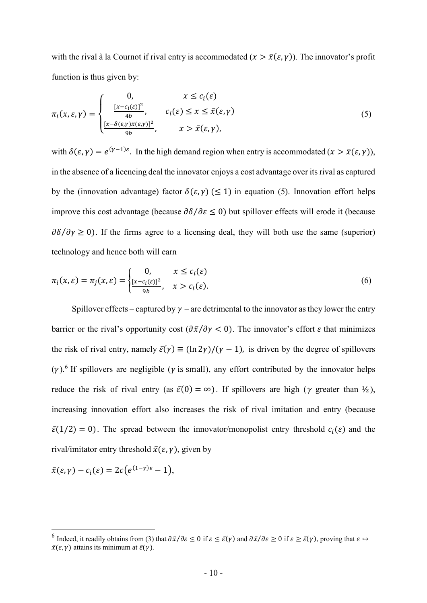with the rival à la Cournot if rival entry is accommodated  $(x > \bar{x}(\epsilon, \gamma))$ . The innovator's profit function is thus given by:

$$
\pi_i(x, \varepsilon, \gamma) = \begin{cases}\n0, & x \leq c_i(\varepsilon) \\
\frac{[x - c_i(\varepsilon)]^2}{4b}, & c_i(\varepsilon) \leq x \leq \bar{x}(\varepsilon, \gamma) \\
\frac{[x - \delta(\varepsilon, \gamma)\bar{x}(\varepsilon, \gamma)]^2}{9b}, & x > \bar{x}(\varepsilon, \gamma),\n\end{cases}
$$
\n(5)

with  $\delta(\varepsilon, \gamma) = e^{(\gamma - 1)\varepsilon}$ . In the high demand region when entry is accommodated  $(x > \bar{x}(\varepsilon, \gamma))$ , in the absence of a licencing deal the innovator enjoys a cost advantage over its rival as captured by the (innovation advantage) factor  $\delta(\varepsilon, \gamma)$  ( $\leq 1$ ) in equation (5). Innovation effort helps improve this cost advantage (because  $\partial \delta / \partial \varepsilon \leq 0$ ) but spillover effects will erode it (because  $\partial \delta / \partial \gamma \ge 0$ ). If the firms agree to a licensing deal, they will both use the same (superior) technology and hence both will earn

$$
\pi_i(x,\varepsilon) = \pi_j(x,\varepsilon) = \begin{cases} 0, & x \le c_i(\varepsilon) \\ \frac{[x-c_i(\varepsilon)]^2}{9b}, & x > c_i(\varepsilon). \end{cases} \tag{6}
$$

Spillover effects – captured by  $\gamma$  – are detrimental to the innovator as they lower the entry barrier or the rival's opportunity cost  $(\partial \bar{x}/\partial y < 0)$ . The innovator's effort  $\varepsilon$  that minimizes the risk of rival entry, namely  $\bar{\varepsilon}(\gamma) \equiv (\ln 2\gamma)/(\gamma - 1)$ , is driven by the degree of spillovers  $(\gamma)$ .<sup>6</sup> If spillovers are negligible ( $\gamma$  is small), any effort contributed by the innovator helps reduce the risk of rival entry (as  $\bar{\varepsilon}(0) = \infty$ ). If spillovers are high ( $\gamma$  greater than  $\frac{1}{2}$ ), increasing innovation effort also increases the risk of rival imitation and entry (because  $\bar{\varepsilon}(1/2) = 0$ ). The spread between the innovator/monopolist entry threshold  $c_i(\varepsilon)$  and the rival/imitator entry threshold  $\bar{x}(\varepsilon, \gamma)$ , given by

$$
\bar{x}(\varepsilon,\gamma)-c_i(\varepsilon)=2c(e^{(1-\gamma)\varepsilon}-1),
$$

<sup>&</sup>lt;sup>6</sup> Indeed, it readily obtains from (3) that  $\partial \bar{x}/\partial \varepsilon \leq 0$  if  $\varepsilon \leq \bar{\varepsilon}(\gamma)$  and  $\partial \bar{x}/\partial \varepsilon \geq 0$  if  $\varepsilon \geq \bar{\varepsilon}(\gamma)$ , proving that  $\varepsilon \mapsto$  $\bar{x}(\varepsilon, \gamma)$  attains its minimum at  $\bar{\varepsilon}(\gamma)$ .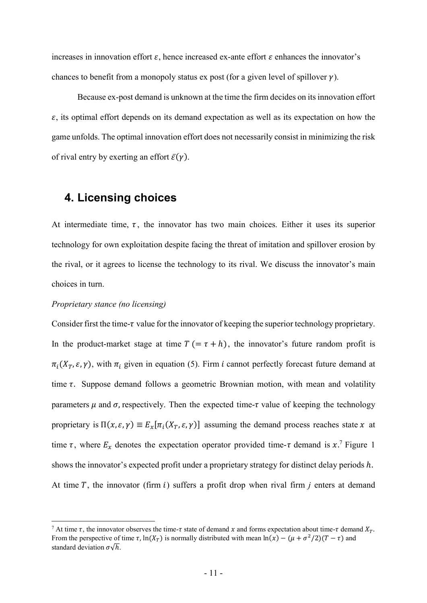increases in innovation effort  $\varepsilon$ , hence increased ex-ante effort  $\varepsilon$  enhances the innovator's chances to benefit from a monopoly status ex post (for a given level of spillover  $\gamma$ ).

Because ex-post demand is unknown at the time the firm decides on its innovation effort  $\varepsilon$ , its optimal effort depends on its demand expectation as well as its expectation on how the game unfolds. The optimal innovation effort does not necessarily consist in minimizing the risk of rival entry by exerting an effort  $\bar{\varepsilon}(\gamma)$ .

## 4. Licensing choices

At intermediate time,  $\tau$ , the innovator has two main choices. Either it uses its superior technology for own exploitation despite facing the threat of imitation and spillover erosion by the rival, or it agrees to license the technology to its rival. We discuss the innovator's main choices in turn.

#### Proprietary stance (no licensing)

-

Consider first the time- $\tau$  value for the innovator of keeping the superior technology proprietary. In the product-market stage at time  $T = \tau + h$ , the innovator's future random profit is  $\pi_i(X_T, \varepsilon, \gamma)$ , with  $\pi_i$  given in equation (5). Firm *i* cannot perfectly forecast future demand at time  $\tau$ . Suppose demand follows a geometric Brownian motion, with mean and volatility parameters  $\mu$  and  $\sigma$ , respectively. Then the expected time- $\tau$  value of keeping the technology proprietary is  $\Pi(x, \varepsilon, \gamma) \equiv E_x[\pi_i(X_T, \varepsilon, \gamma)]$  assuming the demand process reaches state x at time  $\tau$ , where  $E_x$  denotes the expectation operator provided time- $\tau$  demand is  $x$ .<sup>7</sup> Figure 1 shows the innovator's expected profit under a proprietary strategy for distinct delay periods  $h$ . At time  $T$ , the innovator (firm  $i$ ) suffers a profit drop when rival firm  $j$  enters at demand

<sup>&</sup>lt;sup>7</sup> At time  $\tau$ , the innovator observes the time- $\tau$  state of demand x and forms expectation about time- $\tau$  demand  $X_T$ . From the perspective of time  $\tau$ , ln( $X_T$ ) is normally distributed with mean ln( $\dot{x}$ ) – ( $\mu + \sigma^2/2$ )( $T - \tau$ ) and standard deviation  $\sigma\sqrt{h}$ .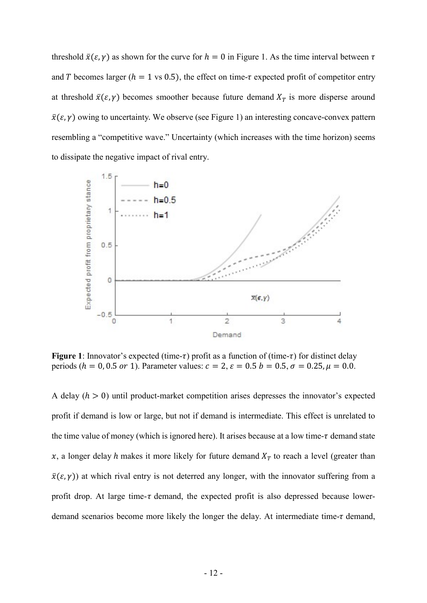threshold  $\bar{x}(\varepsilon, \gamma)$  as shown for the curve for  $h = 0$  in Figure 1. As the time interval between  $\tau$ and T becomes larger ( $h = 1$  vs 0.5), the effect on time- $\tau$  expected profit of competitor entry at threshold  $\bar{x}(\varepsilon, \gamma)$  becomes smoother because future demand  $X_T$  is more disperse around  $\bar{x}(\varepsilon, \gamma)$  owing to uncertainty. We observe (see Figure 1) an interesting concave-convex pattern resembling a "competitive wave." Uncertainty (which increases with the time horizon) seems to dissipate the negative impact of rival entry.



Figure 1: Innovator's expected (time- $\tau$ ) profit as a function of (time- $\tau$ ) for distinct delay periods ( $h = 0, 0.5$  or 1). Parameter values:  $c = 2$ ,  $\varepsilon = 0.5$   $b = 0.5$ ,  $\sigma = 0.25$ ,  $\mu = 0.0$ .

A delay  $(h > 0)$  until product-market competition arises depresses the innovator's expected profit if demand is low or large, but not if demand is intermediate. This effect is unrelated to the time value of money (which is ignored here). It arises because at a low time- $\tau$  demand state x, a longer delay h makes it more likely for future demand  $X_T$  to reach a level (greater than  $\bar{x}(\varepsilon, \gamma)$ ) at which rival entry is not deterred any longer, with the innovator suffering from a profit drop. At large time- $\tau$  demand, the expected profit is also depressed because lowerdemand scenarios become more likely the longer the delay. At intermediate time- $\tau$  demand,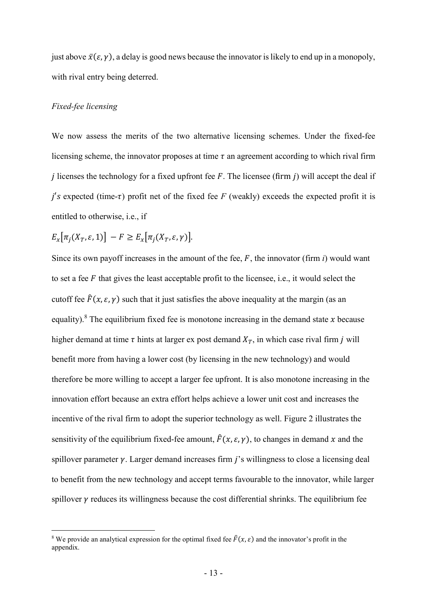just above  $\bar{x}(\varepsilon, \gamma)$ , a delay is good news because the innovator is likely to end up in a monopoly, with rival entry being deterred.

#### Fixed-fee licensing

-

We now assess the merits of the two alternative licensing schemes. Under the fixed-fee licensing scheme, the innovator proposes at time  $\tau$  an agreement according to which rival firm *j* licenses the technology for a fixed upfront fee  $F$ . The licensee (firm  $j$ ) will accept the deal if  $j'$ s expected (time- $\tau$ ) profit net of the fixed fee F (weakly) exceeds the expected profit it is entitled to otherwise, i.e., if

$$
E_x[\pi_j(X_T, \varepsilon, 1)] - F \ge E_x[\pi_j(X_T, \varepsilon, \gamma)].
$$

Since its own payoff increases in the amount of the fee,  $F$ , the innovator (firm  $i$ ) would want to set a fee  $F$  that gives the least acceptable profit to the licensee, i.e., it would select the cutoff fee  $\hat{F}(x, \varepsilon, \gamma)$  such that it just satisfies the above inequality at the margin (as an equality).<sup>8</sup> The equilibrium fixed fee is monotone increasing in the demand state x because higher demand at time  $\tau$  hints at larger ex post demand  $X_T$ , in which case rival firm  $j$  will benefit more from having a lower cost (by licensing in the new technology) and would therefore be more willing to accept a larger fee upfront. It is also monotone increasing in the innovation effort because an extra effort helps achieve a lower unit cost and increases the incentive of the rival firm to adopt the superior technology as well. Figure 2 illustrates the sensitivity of the equilibrium fixed-fee amount,  $\hat{F}(x, \varepsilon, \gamma)$ , to changes in demand x and the spillover parameter  $\gamma$ . Larger demand increases firm *j*'s willingness to close a licensing deal to benefit from the new technology and accept terms favourable to the innovator, while larger spillover  $\gamma$  reduces its willingness because the cost differential shrinks. The equilibrium fee

<sup>&</sup>lt;sup>8</sup> We provide an analytical expression for the optimal fixed fee  $\hat{F}(x, \varepsilon)$  and the innovator's profit in the appendix.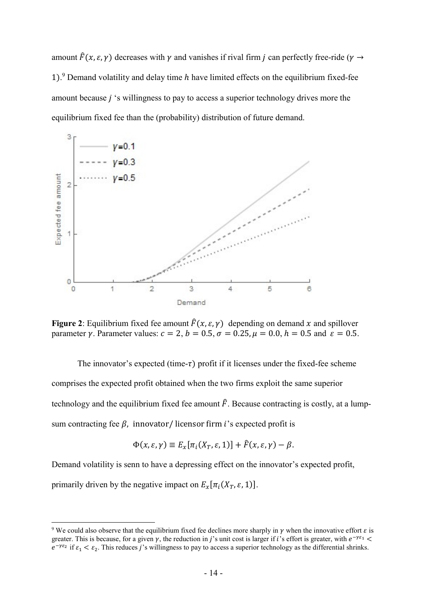amount  $\hat{F}(x, \varepsilon, \gamma)$  decreases with  $\gamma$  and vanishes if rival firm *j* can perfectly free-ride ( $\gamma \rightarrow$ 1).<sup>9</sup> Demand volatility and delay time h have limited effects on the equilibrium fixed-fee amount because  $j$  's willingness to pay to access a superior technology drives more the equilibrium fixed fee than the (probability) distribution of future demand.



Figure 2: Equilibrium fixed fee amount  $\hat{F}(x, \varepsilon, \gamma)$  depending on demand x and spillover parameter v. Parameter values:  $c = 2$ ,  $b = 0.5$ ,  $\sigma = 0.25$ ,  $\mu = 0.0$ ,  $h = 0.5$  and  $\varepsilon = 0.5$ .

The innovator's expected (time- $\tau$ ) profit if it licenses under the fixed-fee scheme comprises the expected profit obtained when the two firms exploit the same superior technology and the equilibrium fixed fee amount  $\hat{F}$ . Because contracting is costly, at a lumpsum contracting fee  $\beta$ , innovator/licensor firm *i*'s expected profit is

$$
\Phi(x,\varepsilon,\gamma) \equiv E_x[\pi_i(X_T,\varepsilon,1)] + \hat{F}(x,\varepsilon,\gamma) - \beta.
$$

Demand volatility is senn to have a depressing effect on the innovator's expected profit, primarily driven by the negative impact on  $E_x[\pi_i(X_T, \varepsilon, 1)]$ .

<sup>&</sup>lt;sup>9</sup> We could also observe that the equilibrium fixed fee declines more sharply in  $\gamma$  when the innovative effort  $\varepsilon$  is greater. This is because, for a given  $\gamma$ , the reduction in j's unit cost is larger if i's effort is greater, with  $e^{-\gamma \varepsilon_1}$  <  $e^{-\gamma \varepsilon_2}$  if  $\varepsilon_1 < \varepsilon_2$ . This reduces j's willingness to pay to access a superior technology as the differential shrinks.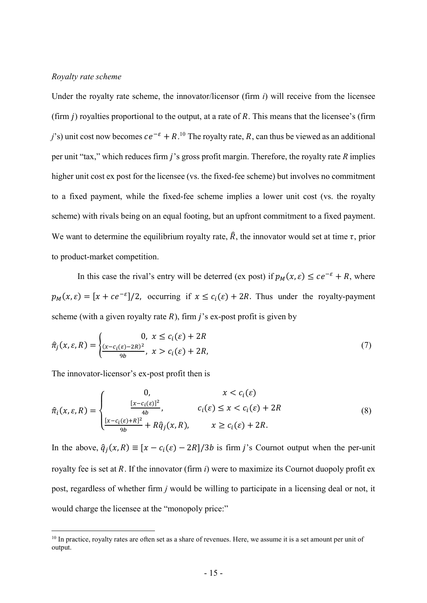#### Royalty rate scheme

Under the royalty rate scheme, the innovator/licensor (firm  $i$ ) will receive from the licensee (firm  $j$ ) royalties proportional to the output, at a rate of  $R$ . This means that the licensee's (firm j's) unit cost now becomes  $ce^{-\varepsilon} + R$ .<sup>10</sup> The royalty rate, R, can thus be viewed as an additional per unit "tax," which reduces firm  $j$ 's gross profit margin. Therefore, the royalty rate  $R$  implies higher unit cost ex post for the licensee (vs. the fixed-fee scheme) but involves no commitment to a fixed payment, while the fixed-fee scheme implies a lower unit cost (vs. the royalty scheme) with rivals being on an equal footing, but an upfront commitment to a fixed payment. We want to determine the equilibrium royalty rate,  $\hat{R}$ , the innovator would set at time  $\tau$ , prior to product-market competition.

In this case the rival's entry will be deterred (ex post) if  $p_M(x, \varepsilon) \leq ce^{-\varepsilon} + R$ , where  $p_M(x, \varepsilon) = [x + ce^{-\varepsilon}]/2$ , occurring if  $x \leq c_i(\varepsilon) + 2R$ . Thus under the royalty-payment scheme (with a given royalty rate  $R$ ), firm  $j$ 's ex-post profit is given by

$$
\hat{\pi}_j(x,\varepsilon,R) = \begin{cases}\n0, & x \le c_i(\varepsilon) + 2R \\
\frac{(x - c_i(\varepsilon) - 2R)^2}{9b}, & x > c_i(\varepsilon) + 2R,\n\end{cases}\n\tag{7}
$$

The innovator-licensor's ex-post profit then is

-

$$
\hat{\pi}_i(x, \varepsilon, R) = \begin{cases}\n0, & x < c_i(\varepsilon) \\
\frac{[x - c_i(\varepsilon)]^2}{4b}, & c_i(\varepsilon) \le x < c_i(\varepsilon) + 2R \\
\frac{[x - c_i(\varepsilon) + R]^2}{9b} + R\hat{q}_j(x, R), & x \ge c_i(\varepsilon) + 2R.\n\end{cases}
$$
\n(8)

In the above,  $\hat{q}_i(x, R) \equiv [x - c_i(\varepsilon) - 2R]/3b$  is firm j's Cournot output when the per-unit royalty fee is set at  $R$ . If the innovator (firm  $i$ ) were to maximize its Cournot duopoly profit ex post, regardless of whether firm j would be willing to participate in a licensing deal or not, it would charge the licensee at the "monopoly price:"

 $10$  In practice, royalty rates are often set as a share of revenues. Here, we assume it is a set amount per unit of output.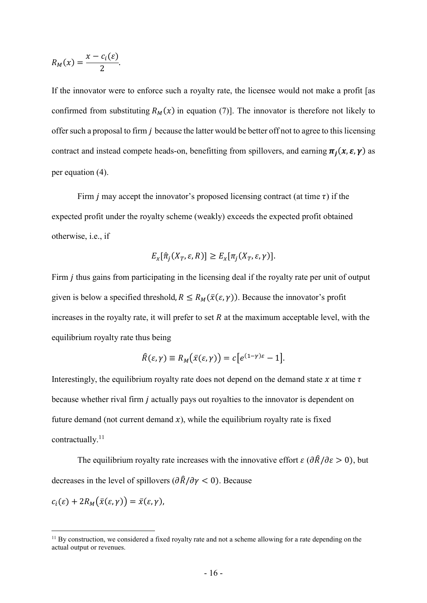$$
R_M(x) = \frac{x - c_i(\varepsilon)}{2}.
$$

-

If the innovator were to enforce such a royalty rate, the licensee would not make a profit [as confirmed from substituting  $R_M(x)$  in equation (7)]. The innovator is therefore not likely to offer such a proposal to firm *j* because the latter would be better off not to agree to this licensing contract and instead compete heads-on, benefitting from spillovers, and earning  $\pi_i(x, \varepsilon, \gamma)$  as per equation (4).

Firm *j* may accept the innovator's proposed licensing contract (at time  $\tau$ ) if the expected profit under the royalty scheme (weakly) exceeds the expected profit obtained otherwise, i.e., if

$$
E_x[\hat{\pi}_j(X_T, \varepsilon, R)] \ge E_x[\pi_j(X_T, \varepsilon, \gamma)].
$$

Firm *i* thus gains from participating in the licensing deal if the royalty rate per unit of output given is below a specified threshold,  $R \le R_M(\bar{x}(\varepsilon, \gamma))$ . Because the innovator's profit increases in the royalty rate, it will prefer to set  $R$  at the maximum acceptable level, with the equilibrium royalty rate thus being

$$
\hat{R}(\varepsilon,\gamma) \equiv R_M(\bar{x}(\varepsilon,\gamma)) = c[e^{(1-\gamma)\varepsilon}-1].
$$

Interestingly, the equilibrium royalty rate does not depend on the demand state  $x$  at time  $\tau$ because whether rival firm  $j$  actually pays out royalties to the innovator is dependent on future demand (not current demand  $x$ ), while the equilibrium royalty rate is fixed contractually.<sup>11</sup>

The equilibrium royalty rate increases with the innovative effort  $\epsilon (\partial \hat{R}/\partial \epsilon > 0)$ , but decreases in the level of spillovers  $(\partial \hat{R}/\partial \gamma < 0)$ . Because  $c_i(\varepsilon) + 2R_M(\bar{x}(\varepsilon, \gamma)) = \bar{x}(\varepsilon, \gamma),$ 

<sup>&</sup>lt;sup>11</sup> By construction, we considered a fixed royalty rate and not a scheme allowing for a rate depending on the actual output or revenues.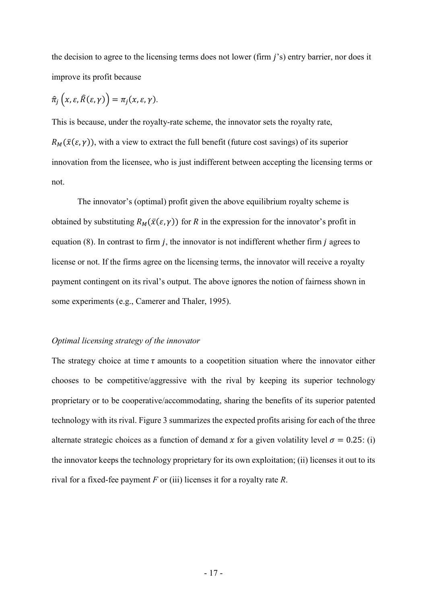the decision to agree to the licensing terms does not lower (firm  $j$ 's) entry barrier, nor does it improve its profit because

$$
\hat{\pi}_j\left(x,\varepsilon,\widehat{R}(\varepsilon,\gamma)\right)=\pi_j(x,\varepsilon,\gamma).
$$

This is because, under the royalty-rate scheme, the innovator sets the royalty rate,  $R_M(\bar{x}(\varepsilon, \gamma))$ , with a view to extract the full benefit (future cost savings) of its superior innovation from the licensee, who is just indifferent between accepting the licensing terms or not.

The innovator's (optimal) profit given the above equilibrium royalty scheme is obtained by substituting  $R_M(\bar{x}(\varepsilon, \gamma))$  for R in the expression for the innovator's profit in equation  $(8)$ . In contrast to firm *j*, the innovator is not indifferent whether firm *j* agrees to license or not. If the firms agree on the licensing terms, the innovator will receive a royalty payment contingent on its rival's output. The above ignores the notion of fairness shown in some experiments (e.g., Camerer and Thaler, 1995).

#### Optimal licensing strategy of the innovator

The strategy choice at time  $\tau$  amounts to a coopetition situation where the innovator either chooses to be competitive/aggressive with the rival by keeping its superior technology proprietary or to be cooperative/accommodating, sharing the benefits of its superior patented technology with its rival. Figure 3 summarizes the expected profits arising for each of the three alternate strategic choices as a function of demand x for a given volatility level  $\sigma = 0.25$ : (i) the innovator keeps the technology proprietary for its own exploitation; (ii) licenses it out to its rival for a fixed-fee payment  $F$  or (iii) licenses it for a royalty rate  $R$ .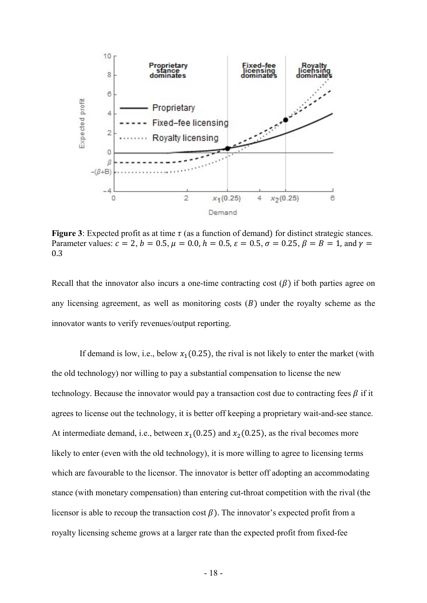

Figure 3: Expected profit as at time  $\tau$  (as a function of demand) for distinct strategic stances. Parameter values:  $c = 2$ ,  $b = 0.5$ ,  $\mu = 0.0$ ,  $h = 0.5$ ,  $\varepsilon = 0.5$ ,  $\sigma = 0.25$ ,  $\beta = B = 1$ , and  $\gamma =$ 0.3

Recall that the innovator also incurs a one-time contracting cost  $(\beta)$  if both parties agree on any licensing agreement, as well as monitoring costs  $(B)$  under the royalty scheme as the innovator wants to verify revenues/output reporting.

If demand is low, i.e., below  $x_1(0.25)$ , the rival is not likely to enter the market (with the old technology) nor willing to pay a substantial compensation to license the new technology. Because the innovator would pay a transaction cost due to contracting fees  $\beta$  if it agrees to license out the technology, it is better off keeping a proprietary wait-and-see stance. At intermediate demand, i.e., between  $x_1(0.25)$  and  $x_2(0.25)$ , as the rival becomes more likely to enter (even with the old technology), it is more willing to agree to licensing terms which are favourable to the licensor. The innovator is better off adopting an accommodating stance (with monetary compensation) than entering cut-throat competition with the rival (the licensor is able to recoup the transaction cost  $\beta$ ). The innovator's expected profit from a royalty licensing scheme grows at a larger rate than the expected profit from fixed-fee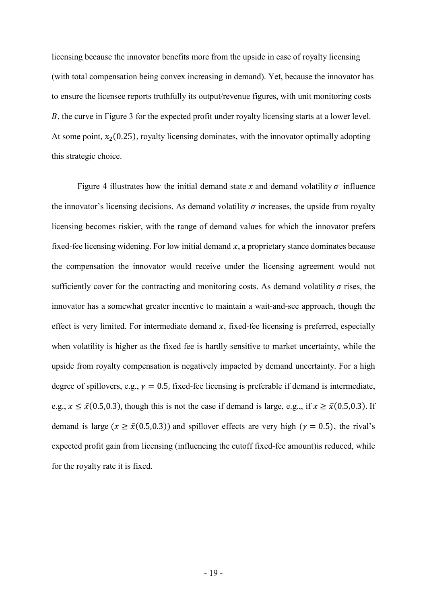licensing because the innovator benefits more from the upside in case of royalty licensing (with total compensation being convex increasing in demand). Yet, because the innovator has to ensure the licensee reports truthfully its output/revenue figures, with unit monitoring costs ܤ, the curve in Figure 3 for the expected profit under royalty licensing starts at a lower level. At some point,  $x_2(0.25)$ , royalty licensing dominates, with the innovator optimally adopting this strategic choice.

Figure 4 illustrates how the initial demand state x and demand volatility  $\sigma$  influence the innovator's licensing decisions. As demand volatility  $\sigma$  increases, the upside from royalty licensing becomes riskier, with the range of demand values for which the innovator prefers fixed-fee licensing widening. For low initial demand  $x$ , a proprietary stance dominates because the compensation the innovator would receive under the licensing agreement would not sufficiently cover for the contracting and monitoring costs. As demand volatility  $\sigma$  rises, the innovator has a somewhat greater incentive to maintain a wait-and-see approach, though the effect is very limited. For intermediate demand  $x$ , fixed-fee licensing is preferred, especially when volatility is higher as the fixed fee is hardly sensitive to market uncertainty, while the upside from royalty compensation is negatively impacted by demand uncertainty. For a high degree of spillovers, e.g.,  $\gamma = 0.5$ , fixed-fee licensing is preferable if demand is intermediate, e.g.,  $x \le \bar{x}$ (0.5,0.3), though this is not the case if demand is large, e.g.,, if  $x \ge \bar{x}$ (0.5,0.3). If demand is large ( $x \ge \bar{x}$ (0.5,0.3)) and spillover effects are very high ( $\gamma = 0.5$ ), the rival's expected profit gain from licensing (influencing the cutoff fixed-fee amount)is reduced, while for the royalty rate it is fixed.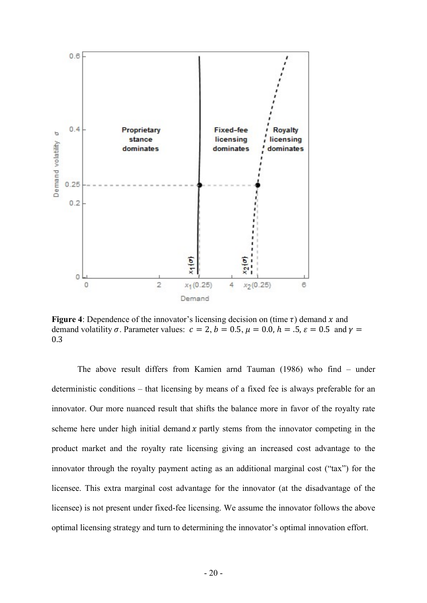

Figure 4: Dependence of the innovator's licensing decision on (time  $\tau$ ) demand x and demand volatility  $\sigma$ . Parameter values:  $c = 2$ ,  $b = 0.5$ ,  $\mu = 0.0$ ,  $h = .5$ ,  $\varepsilon = 0.5$  and  $\gamma =$ 0.3

The above result differs from Kamien arnd Tauman (1986) who find – under deterministic conditions – that licensing by means of a fixed fee is always preferable for an innovator. Our more nuanced result that shifts the balance more in favor of the royalty rate scheme here under high initial demand  $x$  partly stems from the innovator competing in the product market and the royalty rate licensing giving an increased cost advantage to the innovator through the royalty payment acting as an additional marginal cost ("tax") for the licensee. This extra marginal cost advantage for the innovator (at the disadvantage of the licensee) is not present under fixed-fee licensing. We assume the innovator follows the above optimal licensing strategy and turn to determining the innovator's optimal innovation effort.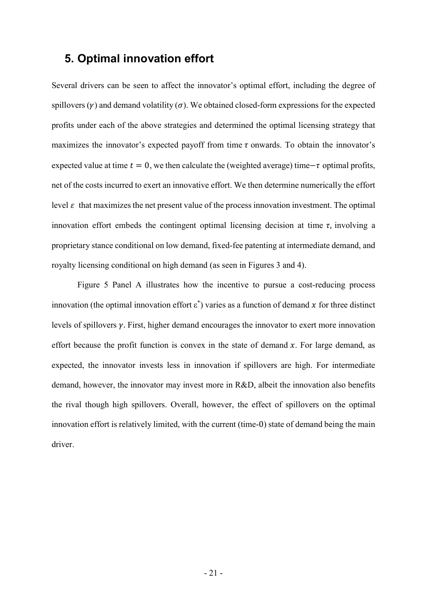## 5. Optimal innovation effort

Several drivers can be seen to affect the innovator's optimal effort, including the degree of spillovers  $(\gamma)$  and demand volatility  $(\sigma)$ . We obtained closed-form expressions for the expected profits under each of the above strategies and determined the optimal licensing strategy that maximizes the innovator's expected payoff from time  $\tau$  onwards. To obtain the innovator's expected value at time  $t = 0$ , we then calculate the (weighted average) time– $\tau$  optimal profits, net of the costs incurred to exert an innovative effort. We then determine numerically the effort level  $\varepsilon$  that maximizes the net present value of the process innovation investment. The optimal innovation effort embeds the contingent optimal licensing decision at time  $\tau$ , involving a proprietary stance conditional on low demand, fixed-fee patenting at intermediate demand, and royalty licensing conditional on high demand (as seen in Figures 3 and 4).

 Figure 5 Panel A illustrates how the incentive to pursue a cost-reducing process innovation (the optimal innovation effort  $\varepsilon^*$ ) varies as a function of demand x for three distinct levels of spillovers  $\gamma$ . First, higher demand encourages the innovator to exert more innovation effort because the profit function is convex in the state of demand  $x$ . For large demand, as expected, the innovator invests less in innovation if spillovers are high. For intermediate demand, however, the innovator may invest more in R&D, albeit the innovation also benefits the rival though high spillovers. Overall, however, the effect of spillovers on the optimal innovation effort is relatively limited, with the current (time-0) state of demand being the main driver.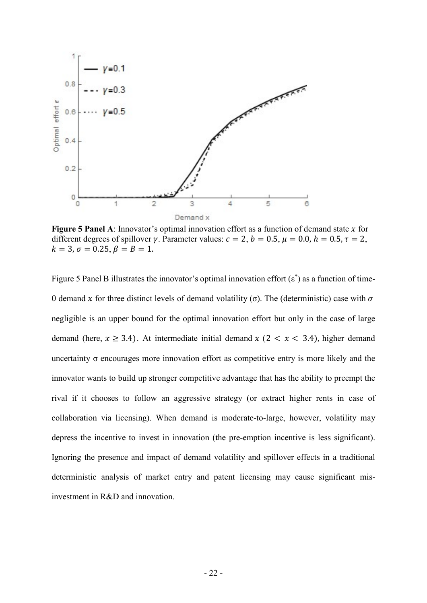

Figure 5 Panel A: Innovator's optimal innovation effort as a function of demand state  $x$  for different degrees of spillover  $\gamma$ . Parameter values:  $c = 2$ ,  $b = 0.5$ ,  $\mu = 0.0$ ,  $h = 0.5$ ,  $\tau = 2$ ,  $k = 3, \sigma = 0.25, \beta = B = 1.$ 

Figure 5 Panel B illustrates the innovator's optimal innovation effort  $(\varepsilon^*)$  as a function of time-0 demand x for three distinct levels of demand volatility (σ). The (deterministic) case with  $\sigma$ negligible is an upper bound for the optimal innovation effort but only in the case of large demand (here,  $x \ge 3.4$ ). At intermediate initial demand  $x$  (2 <  $x$  < 3.4), higher demand uncertainty  $\sigma$  encourages more innovation effort as competitive entry is more likely and the innovator wants to build up stronger competitive advantage that has the ability to preempt the rival if it chooses to follow an aggressive strategy (or extract higher rents in case of collaboration via licensing). When demand is moderate-to-large, however, volatility may depress the incentive to invest in innovation (the pre-emption incentive is less significant). Ignoring the presence and impact of demand volatility and spillover effects in a traditional deterministic analysis of market entry and patent licensing may cause significant misinvestment in R&D and innovation.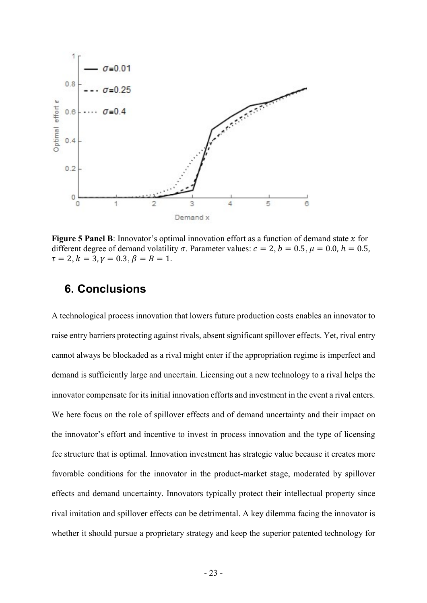

Figure 5 Panel B: Innovator's optimal innovation effort as a function of demand state  $x$  for different degree of demand volatility  $\sigma$ . Parameter values:  $c = 2$ ,  $b = 0.5$ ,  $\mu = 0.0$ ,  $h = 0.5$ ,  $\tau = 2, k = 3, \gamma = 0.3, \beta = B = 1.$ 

## 6. Conclusions

A technological process innovation that lowers future production costs enables an innovator to raise entry barriers protecting against rivals, absent significant spillover effects. Yet, rival entry cannot always be blockaded as a rival might enter if the appropriation regime is imperfect and demand is sufficiently large and uncertain. Licensing out a new technology to a rival helps the innovator compensate for its initial innovation efforts and investment in the event a rival enters. We here focus on the role of spillover effects and of demand uncertainty and their impact on the innovator's effort and incentive to invest in process innovation and the type of licensing fee structure that is optimal. Innovation investment has strategic value because it creates more favorable conditions for the innovator in the product-market stage, moderated by spillover effects and demand uncertainty. Innovators typically protect their intellectual property since rival imitation and spillover effects can be detrimental. A key dilemma facing the innovator is whether it should pursue a proprietary strategy and keep the superior patented technology for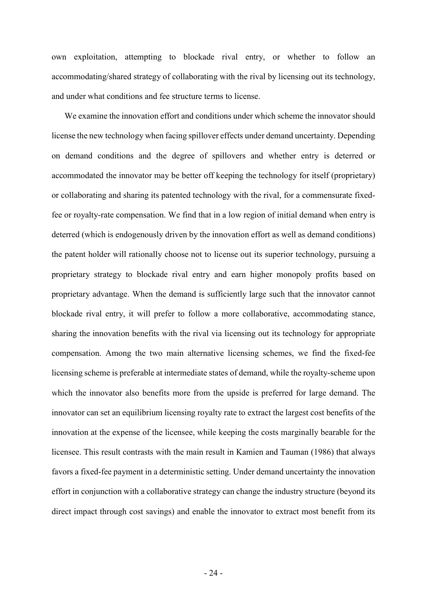own exploitation, attempting to blockade rival entry, or whether to follow an accommodating/shared strategy of collaborating with the rival by licensing out its technology, and under what conditions and fee structure terms to license.

We examine the innovation effort and conditions under which scheme the innovator should license the new technology when facing spillover effects under demand uncertainty. Depending on demand conditions and the degree of spillovers and whether entry is deterred or accommodated the innovator may be better off keeping the technology for itself (proprietary) or collaborating and sharing its patented technology with the rival, for a commensurate fixedfee or royalty-rate compensation. We find that in a low region of initial demand when entry is deterred (which is endogenously driven by the innovation effort as well as demand conditions) the patent holder will rationally choose not to license out its superior technology, pursuing a proprietary strategy to blockade rival entry and earn higher monopoly profits based on proprietary advantage. When the demand is sufficiently large such that the innovator cannot blockade rival entry, it will prefer to follow a more collaborative, accommodating stance, sharing the innovation benefits with the rival via licensing out its technology for appropriate compensation. Among the two main alternative licensing schemes, we find the fixed-fee licensing scheme is preferable at intermediate states of demand, while the royalty-scheme upon which the innovator also benefits more from the upside is preferred for large demand. The innovator can set an equilibrium licensing royalty rate to extract the largest cost benefits of the innovation at the expense of the licensee, while keeping the costs marginally bearable for the licensee. This result contrasts with the main result in Kamien and Tauman (1986) that always favors a fixed-fee payment in a deterministic setting. Under demand uncertainty the innovation effort in conjunction with a collaborative strategy can change the industry structure (beyond its direct impact through cost savings) and enable the innovator to extract most benefit from its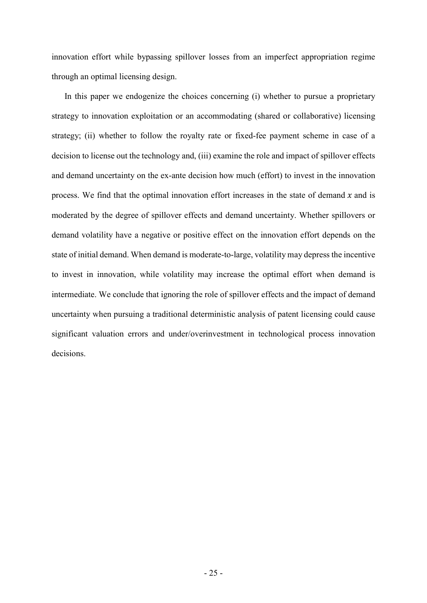innovation effort while bypassing spillover losses from an imperfect appropriation regime through an optimal licensing design.

In this paper we endogenize the choices concerning (i) whether to pursue a proprietary strategy to innovation exploitation or an accommodating (shared or collaborative) licensing strategy; (ii) whether to follow the royalty rate or fixed-fee payment scheme in case of a decision to license out the technology and, (iii) examine the role and impact of spillover effects and demand uncertainty on the ex-ante decision how much (effort) to invest in the innovation process. We find that the optimal innovation effort increases in the state of demand  $x$  and is moderated by the degree of spillover effects and demand uncertainty. Whether spillovers or demand volatility have a negative or positive effect on the innovation effort depends on the state of initial demand. When demand is moderate-to-large, volatility may depress the incentive to invest in innovation, while volatility may increase the optimal effort when demand is intermediate. We conclude that ignoring the role of spillover effects and the impact of demand uncertainty when pursuing a traditional deterministic analysis of patent licensing could cause significant valuation errors and under/overinvestment in technological process innovation decisions.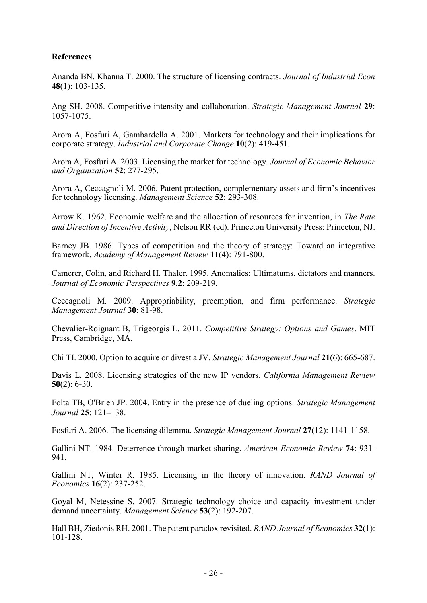#### **References**

Ananda BN, Khanna T. 2000. The structure of licensing contracts. Journal of Industrial Econ 48(1): 103-135.

Ang SH. 2008. Competitive intensity and collaboration. Strategic Management Journal 29: 1057-1075.

Arora A, Fosfuri A, Gambardella A. 2001. Markets for technology and their implications for corporate strategy. Industrial and Corporate Change 10(2): 419-451.

Arora A, Fosfuri A. 2003. Licensing the market for technology. Journal of Economic Behavior and Organization 52: 277-295.

Arora A, Ceccagnoli M. 2006. Patent protection, complementary assets and firm's incentives for technology licensing. Management Science 52: 293-308.

Arrow K. 1962. Economic welfare and the allocation of resources for invention, in The Rate and Direction of Incentive Activity, Nelson RR (ed). Princeton University Press: Princeton, NJ.

Barney JB. 1986. Types of competition and the theory of strategy: Toward an integrative framework. Academy of Management Review 11(4): 791-800.

Camerer, Colin, and Richard H. Thaler. 1995. Anomalies: Ultimatums, dictators and manners. Journal of Economic Perspectives 9.2: 209-219.

Ceccagnoli M. 2009. Appropriability, preemption, and firm performance. Strategic Management Journal 30: 81-98.

Chevalier-Roignant B, Trigeorgis L. 2011. Competitive Strategy: Options and Games. MIT Press, Cambridge, MA.

Chi TI. 2000. Option to acquire or divest a JV. Strategic Management Journal 21(6): 665-687.

Davis L. 2008. Licensing strategies of the new IP vendors. California Management Review  $50(2): 6-30.$ 

Folta TB, O'Brien JP. 2004. Entry in the presence of dueling options. Strategic Management Journal 25: 121–138.

Fosfuri A. 2006. The licensing dilemma. Strategic Management Journal 27(12): 1141-1158.

Gallini NT. 1984. Deterrence through market sharing. American Economic Review 74: 931- 941.

Gallini NT, Winter R. 1985. Licensing in the theory of innovation. RAND Journal of Economics 16(2): 237-252.

Goyal M, Netessine S. 2007. Strategic technology choice and capacity investment under demand uncertainty. Management Science 53(2): 192-207.

Hall BH, Ziedonis RH. 2001. The patent paradox revisited. RAND Journal of Economics 32(1): 101-128.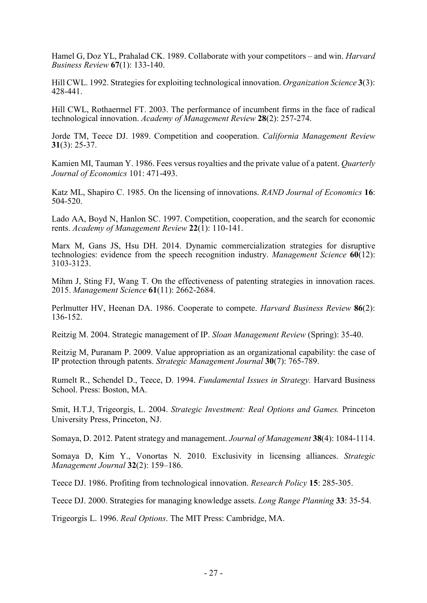Hamel G, Doz YL, Prahalad CK. 1989. Collaborate with your competitors – and win. *Harvard* Business Review 67(1): 133-140.

Hill CWL. 1992. Strategies for exploiting technological innovation. Organization Science 3(3): 428-441.

Hill CWL, Rothaermel FT. 2003. The performance of incumbent firms in the face of radical technological innovation. Academy of Management Review 28(2): 257-274.

Jorde TM, Teece DJ. 1989. Competition and cooperation. California Management Review 31(3): 25-37.

Kamien MI, Tauman Y. 1986. Fees versus royalties and the private value of a patent. Quarterly Journal of Economics 101: 471-493.

Katz ML, Shapiro C. 1985. On the licensing of innovations. RAND Journal of Economics 16: 504-520.

Lado AA, Boyd N, Hanlon SC. 1997. Competition, cooperation, and the search for economic rents. Academy of Management Review 22(1): 110-141.

Marx M, Gans JS, Hsu DH. 2014. Dynamic commercialization strategies for disruptive technologies: evidence from the speech recognition industry. *Management Science*  $60(12)$ : 3103-3123.

Mihm J, Sting FJ, Wang T. On the effectiveness of patenting strategies in innovation races. 2015. Management Science 61(11): 2662-2684.

Perlmutter HV, Heenan DA. 1986. Cooperate to compete. Harvard Business Review 86(2): 136-152.

Reitzig M. 2004. Strategic management of IP. Sloan Management Review (Spring): 35-40.

Reitzig M, Puranam P. 2009. Value appropriation as an organizational capability: the case of IP protection through patents. Strategic Management Journal 30(7): 765-789.

Rumelt R., Schendel D., Teece, D. 1994. Fundamental Issues in Strategy. Harvard Business School. Press: Boston, MA.

Smit, H.T.J, Trigeorgis, L. 2004. Strategic Investment: Real Options and Games. Princeton University Press, Princeton, NJ.

Somaya, D. 2012. Patent strategy and management. Journal of Management 38(4): 1084-1114.

Somaya D, Kim Y., Vonortas N. 2010. Exclusivity in licensing alliances. Strategic Management Journal 32(2): 159–186.

Teece DJ. 1986. Profiting from technological innovation. Research Policy 15: 285-305.

Teece DJ. 2000. Strategies for managing knowledge assets. Long Range Planning 33: 35-54.

Trigeorgis L. 1996. Real Options. The MIT Press: Cambridge, MA.